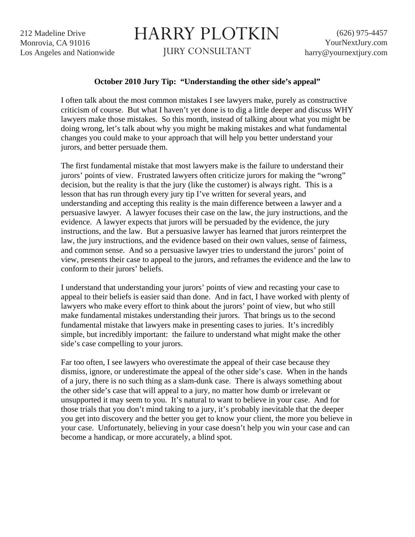212 Madeline Drive Monrovia, CA 91016 Los Angeles and Nationwide

## HARRY PLOTKIN

JURY CONSULTANT

## **October 2010 Jury Tip: "Understanding the other side's appeal"**

I often talk about the most common mistakes I see lawyers make, purely as constructive criticism of course. But what I haven't yet done is to dig a little deeper and discuss WHY lawyers make those mistakes. So this month, instead of talking about what you might be doing wrong, let's talk about why you might be making mistakes and what fundamental changes you could make to your approach that will help you better understand your jurors, and better persuade them.

The first fundamental mistake that most lawyers make is the failure to understand their jurors' points of view. Frustrated lawyers often criticize jurors for making the "wrong" decision, but the reality is that the jury (like the customer) is always right. This is a lesson that has run through every jury tip I've written for several years, and understanding and accepting this reality is the main difference between a lawyer and a persuasive lawyer. A lawyer focuses their case on the law, the jury instructions, and the evidence. A lawyer expects that jurors will be persuaded by the evidence, the jury instructions, and the law. But a persuasive lawyer has learned that jurors reinterpret the law, the jury instructions, and the evidence based on their own values, sense of fairness, and common sense. And so a persuasive lawyer tries to understand the jurors' point of view, presents their case to appeal to the jurors, and reframes the evidence and the law to conform to their jurors' beliefs.

I understand that understanding your jurors' points of view and recasting your case to appeal to their beliefs is easier said than done. And in fact, I have worked with plenty of lawyers who make every effort to think about the jurors' point of view, but who still make fundamental mistakes understanding their jurors. That brings us to the second fundamental mistake that lawyers make in presenting cases to juries. It's incredibly simple, but incredibly important: the failure to understand what might make the other side's case compelling to your jurors.

Far too often, I see lawyers who overestimate the appeal of their case because they dismiss, ignore, or underestimate the appeal of the other side's case. When in the hands of a jury, there is no such thing as a slam-dunk case. There is always something about the other side's case that will appeal to a jury, no matter how dumb or irrelevant or unsupported it may seem to you. It's natural to want to believe in your case. And for those trials that you don't mind taking to a jury, it's probably inevitable that the deeper you get into discovery and the better you get to know your client, the more you believe in your case. Unfortunately, believing in your case doesn't help you win your case and can become a handicap, or more accurately, a blind spot.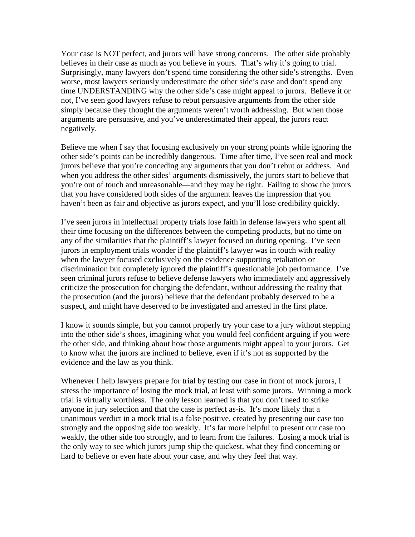Your case is NOT perfect, and jurors will have strong concerns. The other side probably believes in their case as much as you believe in yours. That's why it's going to trial. Surprisingly, many lawyers don't spend time considering the other side's strengths. Even worse, most lawyers seriously underestimate the other side's case and don't spend any time UNDERSTANDING why the other side's case might appeal to jurors. Believe it or not, I've seen good lawyers refuse to rebut persuasive arguments from the other side simply because they thought the arguments weren't worth addressing. But when those arguments are persuasive, and you've underestimated their appeal, the jurors react negatively.

Believe me when I say that focusing exclusively on your strong points while ignoring the other side's points can be incredibly dangerous. Time after time, I've seen real and mock jurors believe that you're conceding any arguments that you don't rebut or address. And when you address the other sides' arguments dismissively, the jurors start to believe that you're out of touch and unreasonable—and they may be right. Failing to show the jurors that you have considered both sides of the argument leaves the impression that you haven't been as fair and objective as jurors expect, and you'll lose credibility quickly.

I've seen jurors in intellectual property trials lose faith in defense lawyers who spent all their time focusing on the differences between the competing products, but no time on any of the similarities that the plaintiff's lawyer focused on during opening. I've seen jurors in employment trials wonder if the plaintiff's lawyer was in touch with reality when the lawyer focused exclusively on the evidence supporting retaliation or discrimination but completely ignored the plaintiff's questionable job performance. I've seen criminal jurors refuse to believe defense lawyers who immediately and aggressively criticize the prosecution for charging the defendant, without addressing the reality that the prosecution (and the jurors) believe that the defendant probably deserved to be a suspect, and might have deserved to be investigated and arrested in the first place.

I know it sounds simple, but you cannot properly try your case to a jury without stepping into the other side's shoes, imagining what you would feel confident arguing if you were the other side, and thinking about how those arguments might appeal to your jurors. Get to know what the jurors are inclined to believe, even if it's not as supported by the evidence and the law as you think.

Whenever I help lawyers prepare for trial by testing our case in front of mock jurors, I stress the importance of losing the mock trial, at least with some jurors. Winning a mock trial is virtually worthless. The only lesson learned is that you don't need to strike anyone in jury selection and that the case is perfect as-is. It's more likely that a unanimous verdict in a mock trial is a false positive, created by presenting our case too strongly and the opposing side too weakly. It's far more helpful to present our case too weakly, the other side too strongly, and to learn from the failures. Losing a mock trial is the only way to see which jurors jump ship the quickest, what they find concerning or hard to believe or even hate about your case, and why they feel that way.